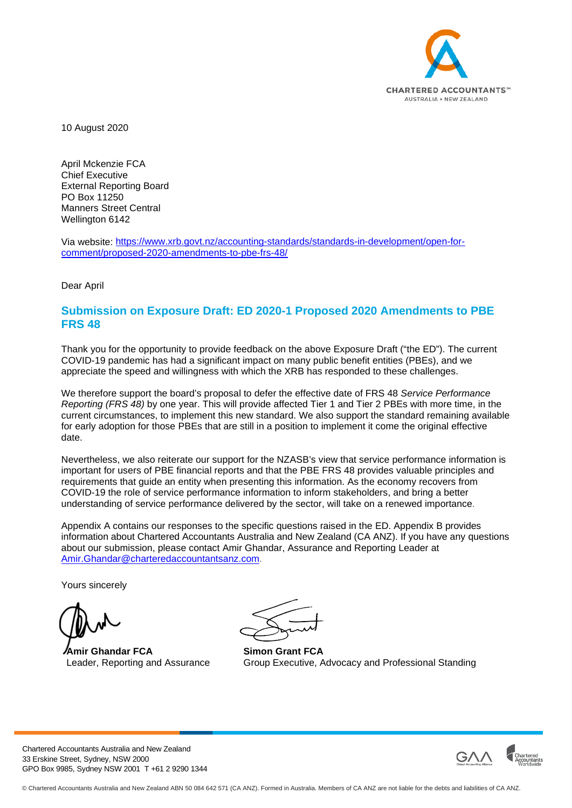

10 August 2020

April Mckenzie FCA Chief Executive External Reporting Board PO Box 11250 Manners Street Central Wellington 6142

Via website: [https://www.xrb.govt.nz/accounting-standards/standards-in-development/open-for](https://www.xrb.govt.nz/accounting-standards/standards-in-development/open-for-comment/proposed-2020-amendments-to-pbe-frs-48/)[comment/proposed-2020-amendments-to-pbe-frs-48/](https://www.xrb.govt.nz/accounting-standards/standards-in-development/open-for-comment/proposed-2020-amendments-to-pbe-frs-48/)

Dear April

#### **Submission on Exposure Draft: ED 2020-1 Proposed 2020 Amendments to PBE FRS 48**

Thank you for the opportunity to provide feedback on the above Exposure Draft ("the ED"). The current COVID-19 pandemic has had a significant impact on many public benefit entities (PBEs), and we appreciate the speed and willingness with which the XRB has responded to these challenges.

We therefore support the board's proposal to defer the effective date of FRS 48 *Service Performance Reporting (FRS 48)* by one year. This will provide affected Tier 1 and Tier 2 PBEs with more time, in the current circumstances, to implement this new standard. We also support the standard remaining available for early adoption for those PBEs that are still in a position to implement it come the original effective date.

Nevertheless, we also reiterate our support for the NZASB's view that service performance information is important for users of PBE financial reports and that the PBE FRS 48 provides valuable principles and requirements that guide an entity when presenting this information. As the economy recovers from COVID-19 the role of service performance information to inform stakeholders, and bring a better understanding of service performance delivered by the sector, will take on a renewed importance.

Appendix A contains our responses to the specific questions raised in the ED. Appendix B provides information about Chartered Accountants Australia and New Zealand (CA ANZ). If you have any questions about our submission, please contact Amir Ghandar, Assurance and Reporting Leader at [Amir.Ghandar@charteredaccountantsanz.com.](mailto:Amir.Ghandar@charteredaccountantsanz.com)

Yours sincerely

**Amir Ghandar FCA** Leader, Reporting and Assurance

**Simon Grant FCA** Group Executive, Advocacy and Professional Standing

Chartered Accountants Australia and New Zealand 33 Erskine Street, Sydney, NSW 2000 GPO Box 9985, Sydney NSW 2001 T +61 2 9290 1344

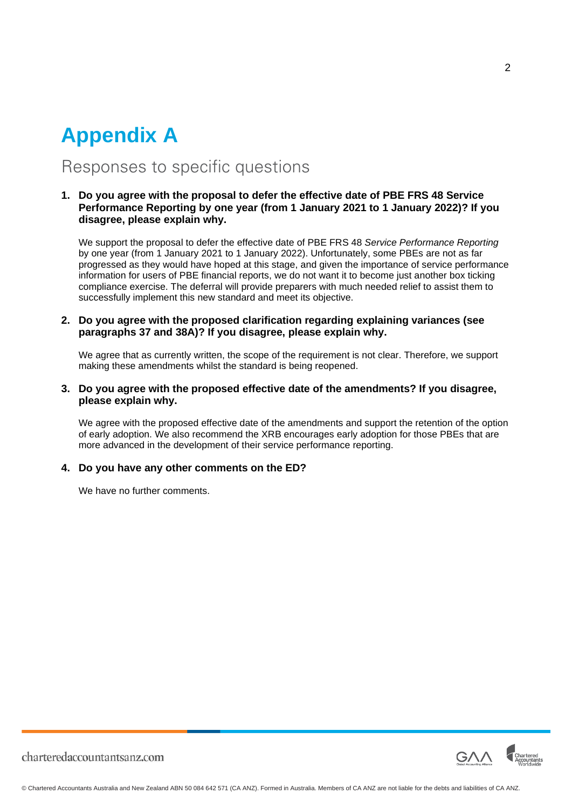## **Appendix A**

### Responses to specific questions

#### **1. Do you agree with the proposal to defer the effective date of PBE FRS 48 Service Performance Reporting by one year (from 1 January 2021 to 1 January 2022)? If you disagree, please explain why.**

We support the proposal to defer the effective date of PBE FRS 48 *Service Performance Reporting*  by one year (from 1 January 2021 to 1 January 2022). Unfortunately, some PBEs are not as far progressed as they would have hoped at this stage, and given the importance of service performance information for users of PBE financial reports, we do not want it to become just another box ticking compliance exercise. The deferral will provide preparers with much needed relief to assist them to successfully implement this new standard and meet its objective.

#### **2. Do you agree with the proposed clarification regarding explaining variances (see paragraphs 37 and 38A)? If you disagree, please explain why.**

We agree that as currently written, the scope of the requirement is not clear. Therefore, we support making these amendments whilst the standard is being reopened.

#### **3. Do you agree with the proposed effective date of the amendments? If you disagree, please explain why.**

We agree with the proposed effective date of the amendments and support the retention of the option of early adoption. We also recommend the XRB encourages early adoption for those PBEs that are more advanced in the development of their service performance reporting.

#### **4. Do you have any other comments on the ED?**

We have no further comments.



 $\mathfrak{p}$ 

charteredaccountantsanz.com